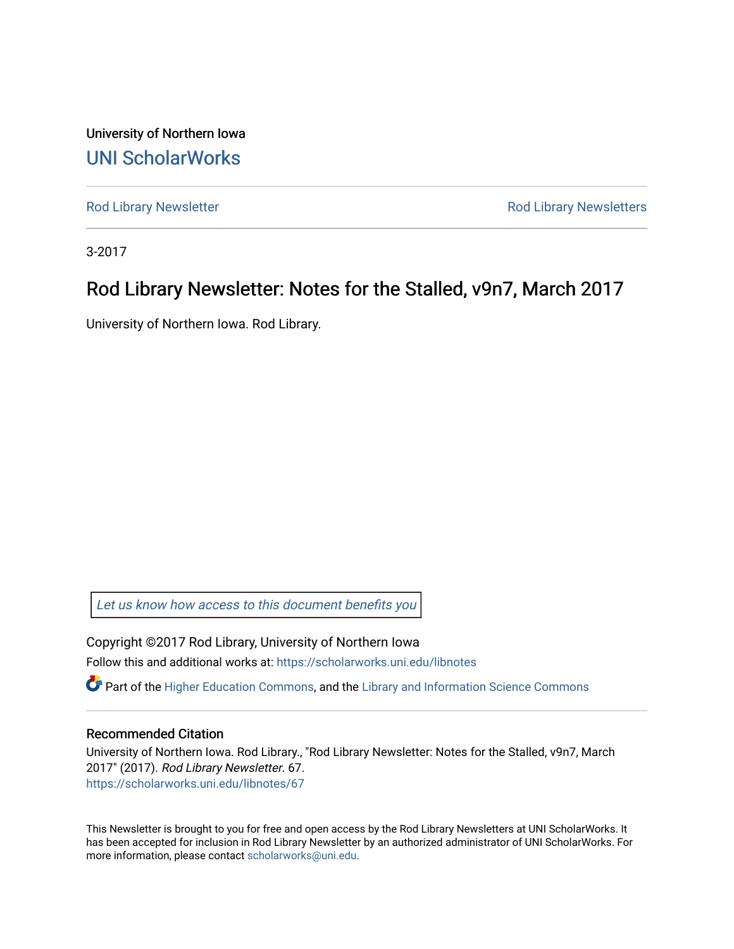University of Northern Iowa [UNI ScholarWorks](https://scholarworks.uni.edu/) 

[Rod Library Newsletter](https://scholarworks.uni.edu/libnotes) **Rod Library Newsletters** Rod Library Newsletters

3-2017

#### Rod Library Newsletter: Notes for the Stalled, v9n7, March 2017

University of Northern Iowa. Rod Library.

[Let us know how access to this document benefits you](https://scholarworks.uni.edu/feedback_form.html) 

Copyright ©2017 Rod Library, University of Northern Iowa Follow this and additional works at: [https://scholarworks.uni.edu/libnotes](https://scholarworks.uni.edu/libnotes?utm_source=scholarworks.uni.edu%2Flibnotes%2F67&utm_medium=PDF&utm_campaign=PDFCoverPages) 

 $\bullet$  Part of the [Higher Education Commons,](http://network.bepress.com/hgg/discipline/1245?utm_source=scholarworks.uni.edu%2Flibnotes%2F67&utm_medium=PDF&utm_campaign=PDFCoverPages) and the Library and Information Science Commons

#### Recommended Citation

University of Northern Iowa. Rod Library., "Rod Library Newsletter: Notes for the Stalled, v9n7, March 2017" (2017). Rod Library Newsletter. 67. [https://scholarworks.uni.edu/libnotes/67](https://scholarworks.uni.edu/libnotes/67?utm_source=scholarworks.uni.edu%2Flibnotes%2F67&utm_medium=PDF&utm_campaign=PDFCoverPages)

This Newsletter is brought to you for free and open access by the Rod Library Newsletters at UNI ScholarWorks. It has been accepted for inclusion in Rod Library Newsletter by an authorized administrator of UNI ScholarWorks. For more information, please contact [scholarworks@uni.edu.](mailto:scholarworks@uni.edu)